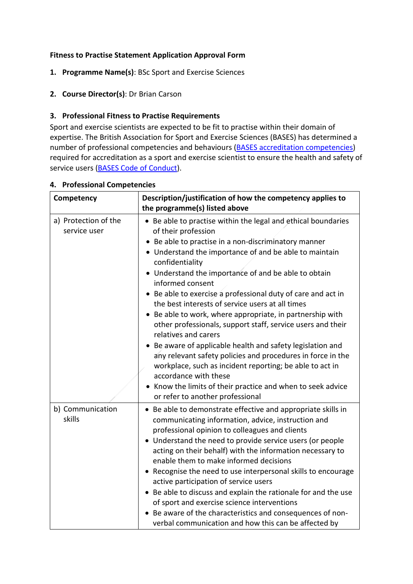### **Fitness to Practise Statement Application Approval Form**

- **1. Programme Name(s)**: BSc Sport and Exercise Sciences
- **2. Course Director(s)**: Dr Brian Carson

## **3. Professional Fitness to Practise Requirements**

Sport and exercise scientists are expected to be fit to practise within their domain of expertise. The British Association for Sport and Exercise Sciences (BASES) has determined a number of professional competencies and behaviours [\(BASES accreditation competencies\)](http://www.bases.org.uk/write/Documents/Accreditation%20Competency%20Profile.doc) required for accreditation as a sport and exercise scientist to ensure the health and safety of service users [\(BASES Code of Conduct\)](http://www.bases.org.uk/pdf/Code%20of%20Conduct.pdf).

| Competency                           | Description/justification of how the competency applies to<br>the programme(s) listed above                                                                                                                                                                                                                                                                                                                                                                                                                                                                                                                                                                                                                                                                                                                                                                                                  |
|--------------------------------------|----------------------------------------------------------------------------------------------------------------------------------------------------------------------------------------------------------------------------------------------------------------------------------------------------------------------------------------------------------------------------------------------------------------------------------------------------------------------------------------------------------------------------------------------------------------------------------------------------------------------------------------------------------------------------------------------------------------------------------------------------------------------------------------------------------------------------------------------------------------------------------------------|
| a) Protection of the<br>service user | • Be able to practise within the legal and ethical boundaries<br>of their profession<br>Be able to practise in a non-discriminatory manner<br>• Understand the importance of and be able to maintain<br>confidentiality<br>• Understand the importance of and be able to obtain<br>informed consent<br>Be able to exercise a professional duty of care and act in<br>the best interests of service users at all times<br>Be able to work, where appropriate, in partnership with<br>other professionals, support staff, service users and their<br>relatives and carers<br>• Be aware of applicable health and safety legislation and<br>any relevant safety policies and procedures in force in the<br>workplace, such as incident reporting; be able to act in<br>accordance with these<br>• Know the limits of their practice and when to seek advice<br>or refer to another professional |
| b) Communication<br>skills           | • Be able to demonstrate effective and appropriate skills in<br>communicating information, advice, instruction and<br>professional opinion to colleagues and clients<br>• Understand the need to provide service users (or people<br>acting on their behalf) with the information necessary to<br>enable them to make informed decisions<br>• Recognise the need to use interpersonal skills to encourage<br>active participation of service users<br>Be able to discuss and explain the rationale for and the use<br>of sport and exercise science interventions<br>Be aware of the characteristics and consequences of non-<br>verbal communication and how this can be affected by                                                                                                                                                                                                        |

#### **4. Professional Competencies**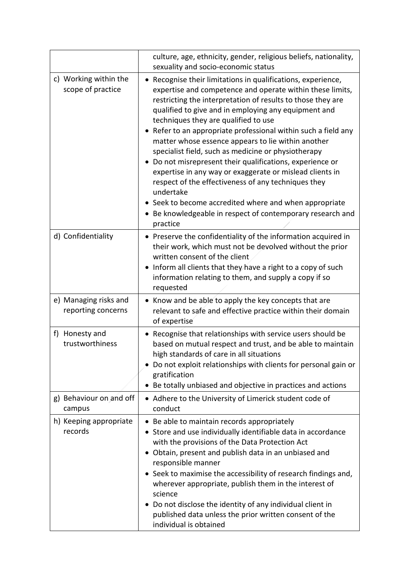|                                             | culture, age, ethnicity, gender, religious beliefs, nationality,<br>sexuality and socio-economic status                                                                                                                                                                                                                                                                                                                                                                                                                                                                                                                                                                                                                                                                                                  |
|---------------------------------------------|----------------------------------------------------------------------------------------------------------------------------------------------------------------------------------------------------------------------------------------------------------------------------------------------------------------------------------------------------------------------------------------------------------------------------------------------------------------------------------------------------------------------------------------------------------------------------------------------------------------------------------------------------------------------------------------------------------------------------------------------------------------------------------------------------------|
| c) Working within the<br>scope of practice  | • Recognise their limitations in qualifications, experience,<br>expertise and competence and operate within these limits,<br>restricting the interpretation of results to those they are<br>qualified to give and in employing any equipment and<br>techniques they are qualified to use<br>• Refer to an appropriate professional within such a field any<br>matter whose essence appears to lie within another<br>specialist field, such as medicine or physiotherapy<br>• Do not misrepresent their qualifications, experience or<br>expertise in any way or exaggerate or mislead clients in<br>respect of the effectiveness of any techniques they<br>undertake<br>• Seek to become accredited where and when appropriate<br>• Be knowledgeable in respect of contemporary research and<br>practice |
| d) Confidentiality                          | • Preserve the confidentiality of the information acquired in<br>their work, which must not be devolved without the prior<br>written consent of the client<br>• Inform all clients that they have a right to a copy of such<br>information relating to them, and supply a copy if so<br>requested                                                                                                                                                                                                                                                                                                                                                                                                                                                                                                        |
| e) Managing risks and<br>reporting concerns | • Know and be able to apply the key concepts that are<br>relevant to safe and effective practice within their domain<br>of expertise                                                                                                                                                                                                                                                                                                                                                                                                                                                                                                                                                                                                                                                                     |
| f) Honesty and<br>trustworthiness           | • Recognise that relationships with service users should be<br>based on mutual respect and trust, and be able to maintain<br>high standards of care in all situations<br>• Do not exploit relationships with clients for personal gain or<br>gratification<br>Be totally unbiased and objective in practices and actions<br>$\bullet$                                                                                                                                                                                                                                                                                                                                                                                                                                                                    |
| g) Behaviour on and off<br>campus           | • Adhere to the University of Limerick student code of<br>conduct                                                                                                                                                                                                                                                                                                                                                                                                                                                                                                                                                                                                                                                                                                                                        |
| h) Keeping appropriate<br>records           | • Be able to maintain records appropriately<br>• Store and use individually identifiable data in accordance<br>with the provisions of the Data Protection Act<br>Obtain, present and publish data in an unbiased and<br>$\bullet$<br>responsible manner<br>• Seek to maximise the accessibility of research findings and,<br>wherever appropriate, publish them in the interest of<br>science<br>Do not disclose the identity of any individual client in<br>published data unless the prior written consent of the<br>individual is obtained                                                                                                                                                                                                                                                            |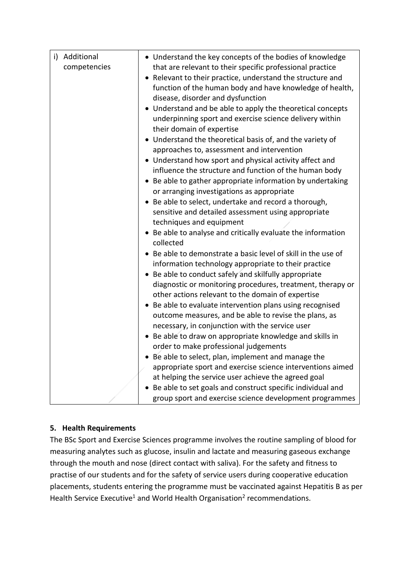| i) Additional<br>competencies | • Understand the key concepts of the bodies of knowledge<br>that are relevant to their specific professional practice<br>Relevant to their practice, understand the structure and<br>$\bullet$ |
|-------------------------------|------------------------------------------------------------------------------------------------------------------------------------------------------------------------------------------------|
|                               | function of the human body and have knowledge of health,<br>disease, disorder and dysfunction                                                                                                  |
|                               | • Understand and be able to apply the theoretical concepts<br>underpinning sport and exercise science delivery within<br>their domain of expertise                                             |
|                               | Understand the theoretical basis of, and the variety of<br>approaches to, assessment and intervention                                                                                          |
|                               | • Understand how sport and physical activity affect and<br>influence the structure and function of the human body                                                                              |
|                               | • Be able to gather appropriate information by undertaking<br>or arranging investigations as appropriate                                                                                       |
|                               | • Be able to select, undertake and record a thorough,                                                                                                                                          |
|                               | sensitive and detailed assessment using appropriate<br>techniques and equipment                                                                                                                |
|                               | • Be able to analyse and critically evaluate the information<br>collected                                                                                                                      |
|                               | Be able to demonstrate a basic level of skill in the use of<br>information technology appropriate to their practice                                                                            |
|                               | • Be able to conduct safely and skilfully appropriate                                                                                                                                          |
|                               | diagnostic or monitoring procedures, treatment, therapy or<br>other actions relevant to the domain of expertise                                                                                |
|                               | • Be able to evaluate intervention plans using recognised                                                                                                                                      |
|                               | outcome measures, and be able to revise the plans, as<br>necessary, in conjunction with the service user                                                                                       |
|                               | • Be able to draw on appropriate knowledge and skills in                                                                                                                                       |
|                               | order to make professional judgements                                                                                                                                                          |
|                               | Be able to select, plan, implement and manage the                                                                                                                                              |
|                               | appropriate sport and exercise science interventions aimed                                                                                                                                     |
|                               | at helping the service user achieve the agreed goal<br>• Be able to set goals and construct specific individual and                                                                            |
|                               | group sport and exercise science development programmes                                                                                                                                        |

# **5. Health Requirements**

The BSc Sport and Exercise Sciences programme involves the routine sampling of blood for measuring analytes such as glucose, insulin and lactate and measuring gaseous exchange through the mouth and nose (direct contact with saliva). For the safety and fitness to practise of our students and for the safety of service users during cooperative education placements, students entering the programme must be vaccinated against Hepatitis B as per Health Service Executive<sup>1</sup> and World Health Organisation<sup>2</sup> recommendations.